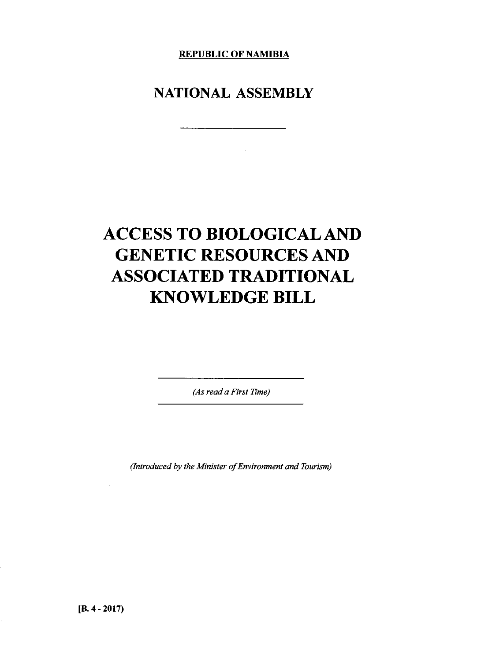**REPUBLIC OF NAMIBIA**

# **NATIONAL ASSEMBLY**

# **ACCESS TO BIOLOGICAL AND GENETIC RESOURCES AND ASSOCIATED TRADITIONAL KNOWLEDGE BILL**

*(As read a First Time)*

*(Introduced by the Minister of Environment and Tourism)*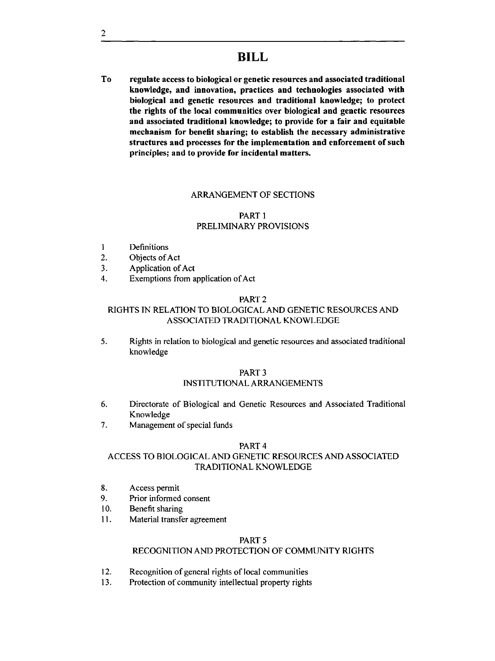**To regulate access to biological or genetic resources and associated traditional knowledge, and innovation, practices and technologies associated with biological and genetic resources and traditional knowledge; to protect the rights of the local communities over biological and genetic resources and associated traditional knowledge; to provide for a fair and equitable mechanism for benefit sharing; to establish the necessary administrative structures and processes for the implementation and enforcement of such principles; and to provide for incidental matters.**

# ARRANGEMENT OF SECTIONS

# PART 1 PRELIMINARY PROVISIONS

- 1 Definitions
- 2. Objects of Act
- 3. Application of Act
- 4. Exemptions from application of Act

# PART 2

# RIGHTS IN RELATION TO BIOLOGICAL AND GENETIC RESOURCES AND ASSOCIATED TRADITIONAL KNOWLEDGE

5. Rights in relation to biological and genetic resources and associated traditional knowledge

# PART 3

# INSTITUTIONAL ARRANGEMENTS

- 6. Directorate of Biological and Genetic Resources and Associated Traditional Knowledge
- 7. Management of special funds

#### PART 4

# ACCESS TO BIOLOGICAL AND GENETIC RESOURCES AND ASSOCIATED TRADITIONAL KNOWLEDGE

- 8. Access permit
- 9. Prior informed consent
- 10. Benefit sharing
- 11. Material transfer agreement

# PART<sub>5</sub>

# RECOGNITION AND PROTECTION OF COMMUNITY RIGHTS

- 12. Recognition of general rights of local communities
- 13. Protection of community intelIectual property rights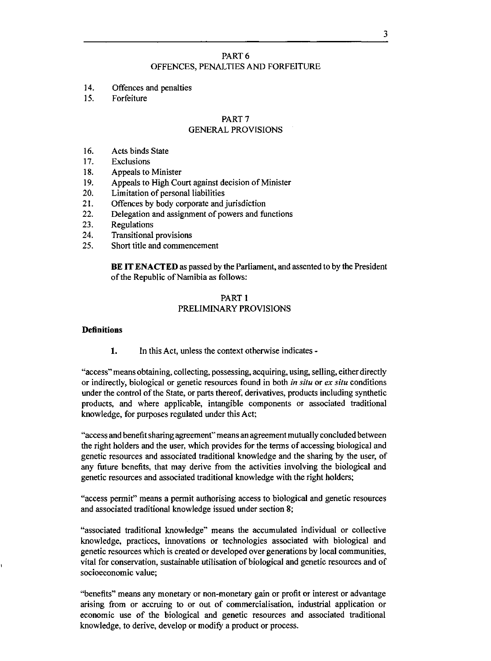# PART 6 OFFENCES, PENALTIES AND FORFEITURE

- 14. Offences and penalties
- 15. Forfeiture

# PART 7

# GENERAL PROVISIONS

- 16. Acts binds State
- 17. Exclusions
- 18. Appeals to Minister
- 19. Appeals to High Court against decision of Minister
- 20. Limitation of personal liabilities
- 21. Offences by body corporate and jurisdiction
- 22. Delegation and assignment of powers and functions
- 23. Regulations
- 24. Transitional provisions
- 25. Short title and commencement

**BE IT ENACTED** as passed by the Parliament, and assented to by the President of the Republic of Namibia as follows:

# PART 1 PRELIMINARY PROVISIONS

#### **Definitions**

1. In this Act, unless the context otherwise indicates -

"access" means obtaining, collecting, possessing, acquiring, using, selling, either directly or indirectly, biological or genetic resources found in both *in situ* or *ex situ* conditions under the control of the State, or parts thereof, derivatives, products including synthetic products, and where applicable, intangible components or associated traditional knowledge, for purposes regulated under this Act;

"access and benefit sharing agreement" means an agreement mutually concluded between the right holders and the user, which provides for the terms of accessing biological and genetic resources and associated traditional knowledge and the sharing by the user, of any future benefits, that may derive from the activities involving the biological and genetic resources and associated traditional knowledge with the right holders;

"access permit" means a permit authorising access to biological and genetic resources and associated traditional knowledge issued under section 8;

"associated traditional knowledge" means the accumulated individual or collective knowledge, practices, innovations or technologies associated with biological and genetic resources which is created or developed over generations by local communities, vital for conservation, sustainable utilisation of biological and genetic resources and of socioeconomic value;

"benefits" means any monetary or non-monetary gain or profit or interest or advantage arising from or accruing to or out of commercialisation, industrial application or economic use of the biological and genetic resources and associated traditional knowledge, to derive, develop or modify a product or process.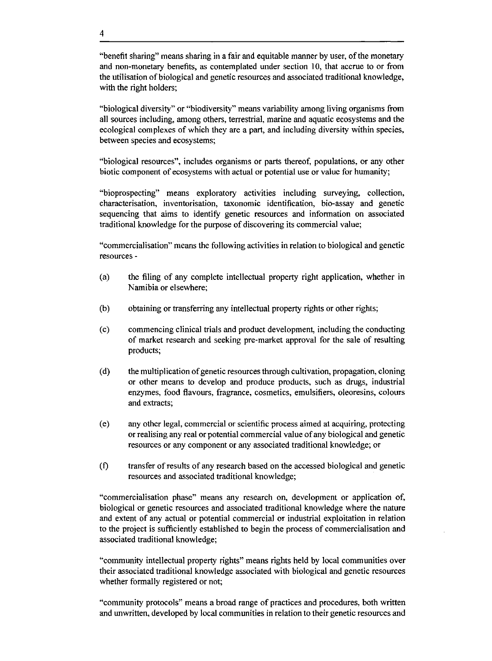"benefit sharing" means sharing in a fair and equitable manner by user, of the monetary and non-monetary benefits, as contemplated under section 10, that accrue to or from the utilisation of biological and genetic resources and associated traditional knowledge, with the right holders;

"biological diversity" or "biodiversity" means variability among living organisms from all sources including, among others, terrestrial, marine and aquatic ecosystems and the ecological complexes of which they are a part, and including diversity within species, between species and ecosystems;

"biological resources", includes organisms or parts thereof, populations, or any other biotic component of ecosystems with actual or potential use or value for humanity;

"bioprospecting" means exploratory activities including surveying, collection, characterisation, inventorisation, taxonomic identification, bio-assay and genetic sequencing that aims to identify genetic resources and information on associated traditional knowledge for the purpose of discovering its commercial value;

"commercialisation" means the following activities in relation to biological and genetic resources -

- (a) the filing of any complete intellectual property right application, whether in Namibia or elsewhere;
- (b) obtaining or transferring any intellectual property rights or other rights;
- (c) commencing clinical trials and product development, including the conducting of market research and seeking pre-market approval for the sale of resulting products;
- (d) the multiplication of genetic resources through cultivation, propagation, cloning or other means to develop and produce products, such as drugs, industrial enzymes, food flavours, fragrance, cosmetics, emulsifiers, oleoresins, colours and extracts;
- (e) any other legal, commercial or scientific process aimed at acquiring, protecting or realising any real or potential commercial value of any biological and genetic resources or any component or any associated traditional knowledge; or
- (f) transfer of results of any research based on the accessed biological and genetic resources and associated traditional knowledge;

"commercialisation phase" means any research on, development or application of, biological or genetic resources and associated traditional knowledge where the nature and extent of any actual or potential commercial or industrial exploitation in relation to the project is sufficiently established to begin the process of commercialisation and associated traditional knowledge;

"community intellectual property rights" means rights held by local communities over their associated traditional knowledge associated with biological and genetic resources whether formally registered or not;

"community protocols" means a broad range of practices and procedures, both written and unwritten, developed by local communities in relation to their genetic resources and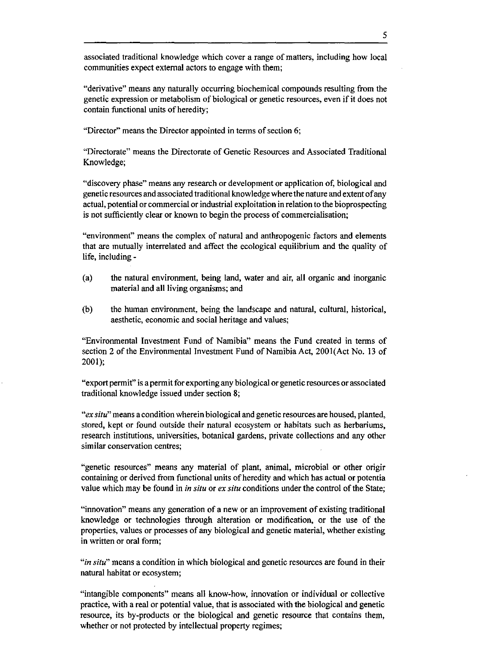associated traditional knowledge which cover a range of matters, including how local communities expect external actors to engage with them;

"derivative" means any naturally occurring biochemical compounds resulting from the genetic expression or metabolism of biological or genetic resources, even if it does not contain functional units of heredity;

"Director" means the Director appointed in terms of section 6;

"Directorate" means the Directorate of Genetic Resources and Associated Traditional Knowledge;

"discovery phase" means any research or development or application of, biological and genetic resources and associated traditional knowledge where the nature and extent of any actual, potential or commercial or industrial exploitation in relation to the bioprospecting is not sufficiently clear or known to begin the process of commercialisation;

"environment" means the complex of natural and anthropogenic factors and elements that are mutually interrelated and affect the ecological equilibrium and the quality of life, including -

- (a) the natural environment, being land, water and air, all organic and inorganic material and all living organisms; and
- (b) the human environment, being the landscape and natural, cultural, historical, aesthetic, economic and social heritage and values;

"Environmental Investment Fund of Namibia" means the Fund created in terms of section 2 of the Environmental Investment Fund of Namibia Act, 2001(Act No. 13 of 2001);

"export permit" is a permit for exporting any biological or genetic resources or associated traditional knowledge issued under section 8;

*"ex situ"* means a condition wherein biological and genetic resources are housed, planted, stored, kept or found outside their natural ecosystem or habitats such as herbariums, research institutions, universities, botanical gardens, private collections and any other similar conservation centres;

"genetic resources" means any material of plant, animal, microbial or other origir containing or derived from functional units of heredity and which has actual or potentia value which may be found in *in situ* or *ex situ* conditions under the control of the State;

"innovation" means any generation of a new or an improvement of existing traditional knowledge or technologies through alteration or modification, or the use of the properties, values or processes of any biological and genetic material, whether existing in written or oral form;

*"in situ"* means a condition in which biological and genetic resources are found in their natural habitat or ecosystem;

"intangible components" means all know-how, innovation or individual or collective practice, with a real or potential value, that is associated with the biological and genetic resource, its by-products or the biological and genetic resource that contains them, whether or not protected by intellectual property regimes;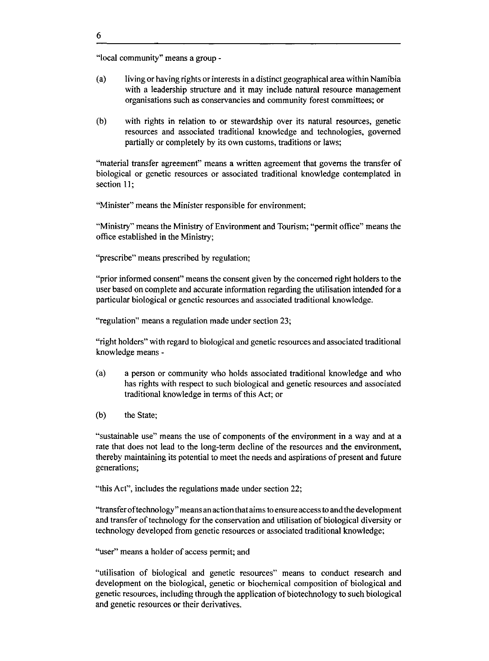"local community" means a group -

- (a) living or having rights or interests in a distinct geographical area within Namibia with a leadership structure and it may include natural resource management organisations such as conservancies and community forest committees; or
- (b) with rights in relation to or stewardship over its natural resources, genetic resources and associated traditional knowledge and technologies, governed partially or completely by its own customs, traditions or laws;

"material transfer agreement" means a written agreement that governs the transfer of biological or genetic resources or associated traditional knowledge contemplated in section 11;

"Minister" means the Minister responsible for environment;

"Ministry" means the Ministry of Environment and Tourism; "permit office" means the office established in the Ministry;

"prescribe" means prescribed by regulation;

"prior informed consent" means the consent given by the concerned right holders to the user based on complete and accurate information regarding the utilisation intended for a particular biological or genetic resources and associated traditional knowledge.

"regulation" means a regulation made under section 23;

"right holders" with regard to biological and genetic resources and associated traditional knowledge means -

- (a) a person or community who holds associated traditional knowledge and who has rights with respect to such biological and genetic resources and associated traditional knowledge in terms of this Act; or
- (b) the State;

"sustainable use" means the use of components of the environment in a way and at a rate that does not lead to the long-term decline of the resources and the environment, thereby maintaining its potential to meet the needs and aspirations of present and future generations;

"this Act", includes the regulations made under section 22;

"transfer oftechnology" means an action that aims to ensure access to and the development and transfer of technology for the conservation and utilisation of biological diversity or technology developed from genetic resources or associated traditional knowledge;

"user" means a holder of access permit; and

"utilisation of biological and genetic resources" means to conduct research and development on the biological, genetic or biochemical composition of biological and genetic resources, including through the application of biotechnology to such biological and genetic resources or their derivatives.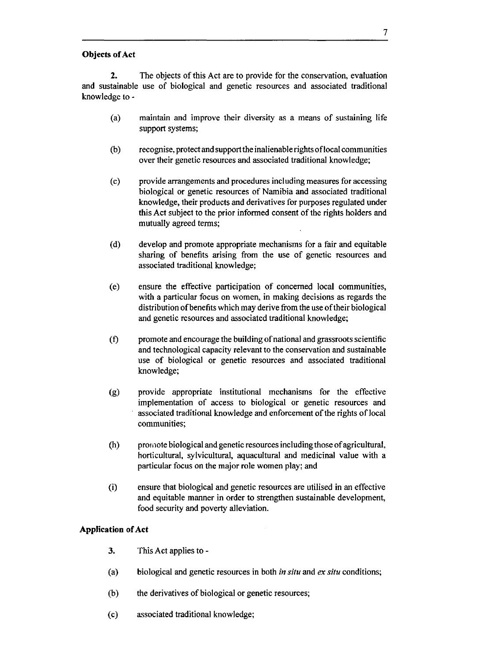# **Objects of Act**

**2.** The objects of this Act are to provide for the conservation, evaluation and sustainable use of biological and genetic resources and associated traditional knowledge to-

- (a) maintain and improve their diversity as a means of sustaining life support systems;
- (b) recognise, protect and support the inalienable rights oflocal communities over their genetic resources and associated traditional knowledge;
- (c) provide arrangements and procedures including measures for accessing biological or genetic resources of Namibia and associated traditional knowledge, their products and derivatives for purposes regulated under this Act subject to the prior informed consent of the rights holders and mutually agreed terms;
- (d) develop and promote appropriate mechanisms for a fair and equitable sharing of benefits arising from the use of genetic resources and associated traditional knowledge;
- (e) ensure the effective participation of concerned local communities, with a particular focus on women, in making decisions as regards the distribution of benefits which may derive from the use of their biological and genetic resources and associated traditional knowledge;
- (t) promote and encourage the building of national and grassroots scientific and technological capacity relevant to the conservation and sustainable use of biological or genetic resources and associated traditional knowledge;
- (g) provide appropriate institutional mechanisms for the effective implementation of access to biological or genetic resources and associated traditional knowledge and enforcement of the rights of local communities;
- (h) promote biological and genetic resources including those of agricultural, horticultural, sylvicultural, aquacultural and medicinal value with a particular focus on the major role women play; and
- (i) ensure that biological and genetic resources are utilised in an effective and equitable manner in order to strengthen sustainable development, food security and poverty alleviation.

# **Application of Act**

- **3.** This Act applies to -
- (a) biological and genetic resources in both *in situ* and *ex situ* conditions;
- (b) the derivatives of biological or genetic resources;
- (c) associated traditional knowledge;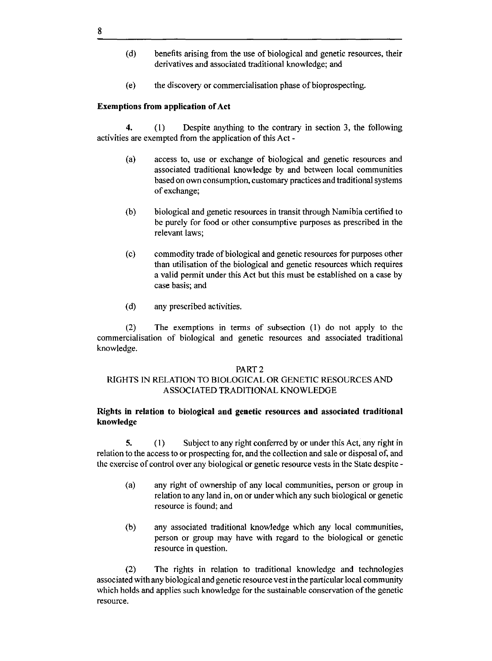- (d) benefits arising from the use of biological and genetic resources, their derivatives and associated traditional knowledge; and
- (e) the discovery or commercialisation phase of bioprospecting.

# **Exemptions from application of Act**

**4.** (1) Despite anything to the contrary in section 3, the following activities are exempted from the application of this Act -

- (a) access to, use or exchange of biological and genetic resources and associated traditional knowledge by and between local communities based on own consumption, customary practices and traditional systems of exchange;
- (b) biological and genetic resources in transit through Namibia certified to be purely for food or other consumptive purposes as prescribed in the relevant laws;
- (c) commodity trade of biological and genetic resources for purposes other than utilisation of the biological and genetic resources which requires a valid permit under this Act but this must be established on a case by case basis; and
- (d) any prescribed activities.

(2) The exemptions in terms of subsection (1) do not apply to the commercialisation of biological and genetic resources and associated traditional knowledge.

#### PART 2

# RIGHTS IN RELATION TO BIOLOGICAL OR GENETIC RESOURCES AND ASSOCIATED TRADITIONAL KNOWLEDGE

# **Rights in relation to biological and genetic resources and associated traditional knowledge**

5. (1) Subject to any right conferred by or under this Act, any right in relation to the access to or prospecting for, and the collection and sale or disposal of, and the exercise of control over any biological or genetic resource vests in the State despite -

- (a) any right of ownership of any local communities, person or group in relation to any land in, on or under which any such biological or genetic resource is found; and
- (b) any associated traditional knowledge which any local communities, person or group may have with regard to the biological or genetic resource in question.

(2) The rights in relation to traditional knowledge and technologies associated with any biological and genetic resource vest in the particular local community which holds and applies such knowledge for the sustainable conservation of the genetic resource.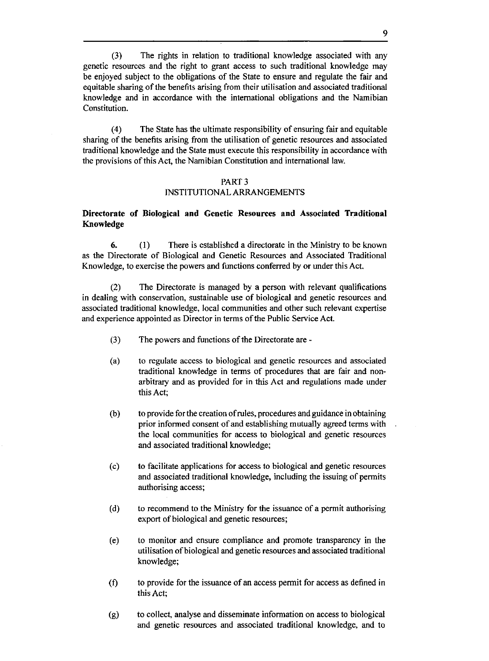(3) The rights in relation to traditional knowledge associated with any genetic resources and the right to grant access to such traditional knowledge may be enjoyed subject to the obligations of the State to ensure and regulate the fair and equitable sharing of the benefits arising from their utilisation and associated traditional knowledge and in accordance with the international obligations and the Namibian Constitution.

(4) The State has the ultimate responsibility of ensuring fair and equitable sharing of the benefits arising from the utilisation of genetic resources and associated traditional knowledge and the State must execute this responsibility in accordance with the provisions of this Act, the Namibian Constitution and international law.

#### PART 3

#### INSTITUTIONAL ARRANGEMENTS

# **Directorate of Biological and Genetic Resources and Associated Traditional Knowledge**

6. (l) There is established a directorate in the Ministry to be known as the Directorate of Biological and Genetic Resources and Associated Traditional Knowledge, to exercise the powers and functions conferred by or under this Act.

(2) The Directorate is managed by a person with relevant qualifications in dealing with conservation, sustainable use of biological and genetic resources and associated traditional knowledge, local communities and other such relevant expertise and experience appointed as Director in terms of the Public Service Act.

- (3) The powers and functions of the Directorate are -
- (a) to regulate access to biological and genetic resources and associated traditional knowledge in terms of procedures that are fair and nonarbitrary and as provided for in this Act and regulations made under this Act;
- (b) to provide for the creation of rules, procedures and guidance in obtaining prior informed consent of and establishing mutually agreed terms with the local communities for access to biological and genetic resources and associated traditional knowledge;
- (c) to facilitate applications for access to biological and genetic resources and associated traditional knowledge, including the issuing of permits authorising access;
- (d) to recommend to the Ministry for the issuance of a permit authorising export of biological and genetic resources;
- (e) to monitor and ensure compliance and promote transparency in the utilisation of biological and genetic resources and associated traditional knowledge;
- (f) to provide for the issuance of an access permit for access as defined in this Act;
- (g) to collect, analyse and disseminate information on access to biological and genetic resources and associated traditional knowledge, and to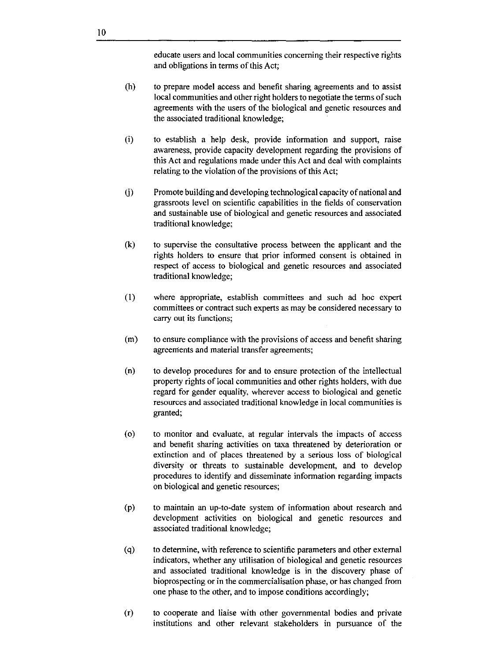educate users and local communities concerning their respective rights and obligations in terms of this Act;

- (h) to prepare model access and benefit sharing agreements and to assist local communities and other right holders to negotiate the terms of such agreements with the users of the biological and genetic resources and the associated traditional knowledge;
- (i) to establish a help desk, provide information and support, raise awareness, provide capacity development regarding the provisions of this Act and regulations made under this Act and deal with complaints relating to the violation of the provisions of this Act;
- G) Promote building and developing technological capacity of national and grassroots level on scientific capabilities in the fields of conservation and sustainable use of biological and genetic resources and associated traditional knowledge;
- (k) to supervise the consultative process between the applicant and the rights holders to ensure that prior informed consent is obtained in respect of access to biological and genetic resources and associated traditional knowledge;
- (1) where appropriate, establish committees and such ad hoc expert committees or contract such experts as may be considered necessary to carry out its functions;
- (m) to ensure compliance with the provisions of access and benefit sharing agreements and material transfer agreements;
- (n) to develop procedures for and to ensure protection of the inteIlectual property rights of local communities and other rights holders, with due regard for gender equality, wherever access to biological and genetic resources and associated traditional knowledge in local communities is granted;
- (0) to monitor and evaluate, at regular intervals the impacts of access and benefit sharing activities on taxa threatened by deterioration or extinction and of places threatened by a serious loss of biological diversity or threats to sustainable development, and to develop procedures to identify and disseminate information regarding impacts on biological and genetic resources;
- (p) to maintain an up-to-date system of information about research and development activities on biological and genetic resources and associated traditional knowledge;
- (q) to determine, with reference to scientific parameters and other external indicators, whether any utilisation of biological and genetic resources and associated traditional knowledge is in the discovery phase of bioprospecting or in the commercialisation phase, or has changed from one phase to the other, and to impose conditions accordingly;
- (r) to cooperate and liaise with other governmental bodies and private institutions and other relevant stakeholders in pursuance of the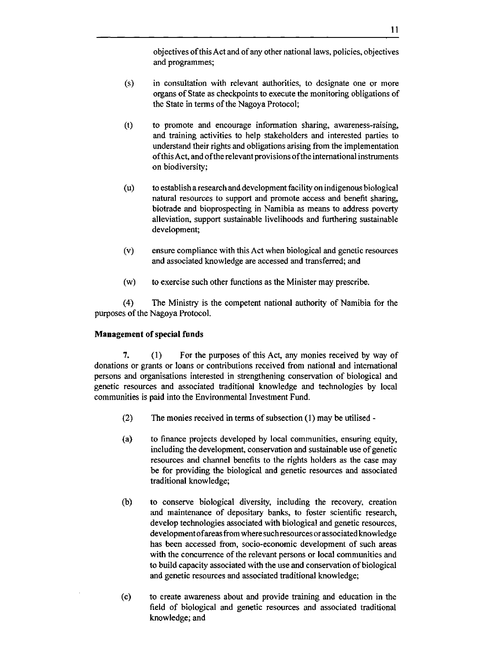objectives of this Act and of any other national laws, policies, objectives and programmes;

- (s) in consultation with relevant authorities, to designate one or more organs of State as checkpoints to execute the monitoring obligations of the State in terms of the Nagoya Protocol;
- (t) to promote and encourage information sharing, awareness-raising, and training activities to help stakeholders and interested parties to understand their rights and obligations arising from the implementation of this Act, and ofthe relevant provisions of the international instruments on biodiversity;
- (u) to establish a research and development facility on indigenous biological natural resources to support and promote access and benefit sharing, biotrade and bioprospecting in Namibia as means to address poverty alleviation, support sustainable livelihoods and furthering sustainable development;
- (v) ensure compliance with this Act when biological and genetic resources and associated knowledge are accessed and transferred; and
- (w) to exercise such other functions as the Minister may prescribe.

(4) The Ministry is the competent national authority of Namibia for the purposes of the Nagoya Protocol.

# **Management of** special **funds**

7. (1) For the purposes of this Act, any monies received by way of donations or grants or loans or contributions received from national and international persons and organisations interested in strengthening conservation of biological and genetic resources and associated traditional knowledge and technologies by local communities is paid into the Environmental Investment Fund.

- (2) The monies received in terms of subsection (1) may be utilised -
- (a) to finance projects developed by local communities, ensuring equity, including the development, conservation and sustainable use of genetic resources and channel benefits to the rights holders as the case may be for providing the biological and genetic resources and associated traditional knowledge;
- (b) to conserve biological diversity, including the recovery, creation and maintenance of depositary banks, to foster scientific research, develop technologies associated with biological and genetic resources, development of areas from where such resources or associated knowledge has been accessed from, socio-economic development of such areas with the concurrence of the relevant persons or local communities and to build capacity associated with the use and conservation of biological and genetic resources and associated traditional knowledge;
- (c) to create awareness about and provide training and education in the field of biological and genetic resources and associated traditional knowledge; and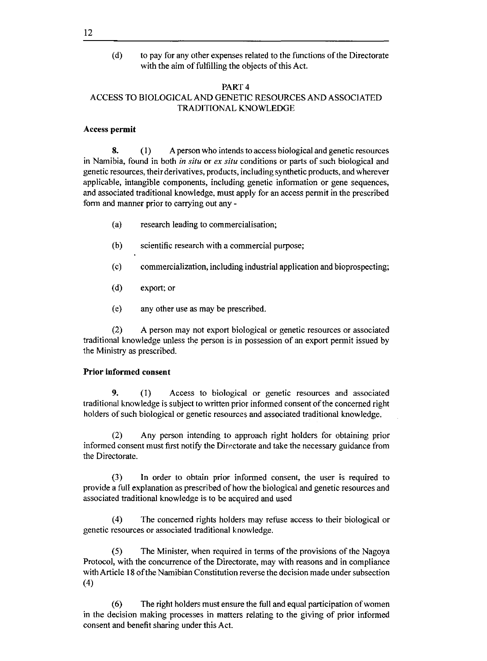(d) to pay for any other expenses related to the functions of the Directorate with the aim of fulfilling the objects of this Act.

# PART 4 ACCESS TO BIOLOGICAL AND GENETIC RESOURCES AND ASSOCIATED TRADITIONAL KNOWLEDGE

# Access permit

8. (1) A person who intends to access biological and genetic resources in Namibia, found in both *in situ* or *ex situ* conditions or parts of such biological and genetic resources, their derivatives, products, including synthetic products, and wherever applicable, intangible components, including genetic information or gene sequences, and associated traditional knowledge, must apply for an access permit in the prescribed form and manner prior to carrying out any -

- (a) research leading to commercialisation;
- (b) scientific research with a commercial purpose;
- (c) commercialization, including industrial application and bioprospecting;
- (d) export; or
- (e) any other use as may be prescribed.

(2) A person may not export biological or genetic resources or associated traditional knowledge unless the person is in possession of an export permit issued by the Ministry as prescribed.

# Prior informed consent

9. (1) Access to biological or genetic resources and associated traditional knowledge is subject to written prior informed consent of the concerned right holders of such biological or genetic resources and associated traditional knowledge.

(2) Any person intending to approach right holders for obtaining prior informed consent must first notify the Directorate and take the necessary guidance from the Directorate.

(3) In order to obtain prior informed consent, the user is required to provide a full explanation as prescribed of how the biological and genetic resources and associated traditional knowledge is to be acquired and used

(4) The concerned rights holders may refuse access to their biological or genetic resources or associated traditional knowledge.

(5) The Minister, when required in terms of the provisions of the Nagoya Protocol, with the concurrence of the Directorate, may with reasons and in compliance with Article 18 of the Namibian Constitution reverse the decision made under subsection (4)

(6) The right holders must ensure the full and equal participation of women in the decision making processes in matters relating to the giving of prior informed consent and benefit sharing under this Act.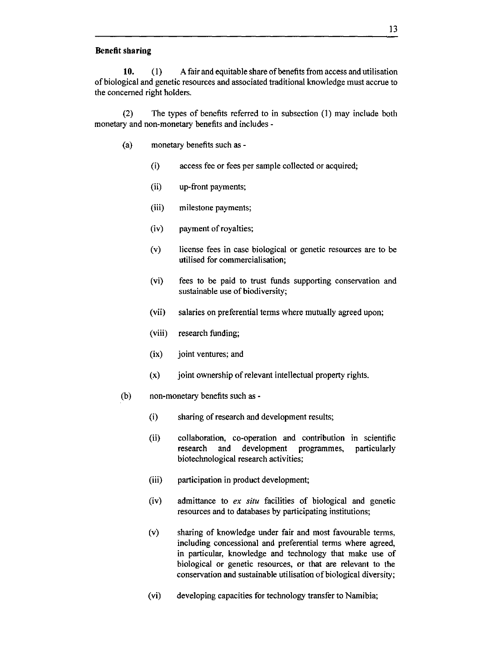#### **Benefit sharing**

**10.** (1) A fair and equitable share of benefits from access and utilisation of biological and genetic resources and associated traditional knowledge must accrue to the concerned right holders.

(2) The types of benefits referred to in subsection (l) may include both monetary and non-monetary benefits and includes -

- (a) monetary benefits such as
	- (i) access fee or fees per sample collected or acquired;
	- (ii) up-front payments;
	- (iii) milestone payments;
	- (iv) payment of royalties;
	- (v) license fees in case biological or genetic resources are to be utilised for commercialisation;
	- (vi) fees to be paid to trust funds supporting conservation and sustainable use of biodiversity;
	- (vii) salaries on preferential terms where mutually agreed upon;
	- (viii) research funding;
	- (ix) joint ventures; and
	- $(x)$  joint ownership of relevant intellectual property rights.
- (b) non-monetary benefits such as
	- (i) sharing of research and development results;
	- (ii) collaboration, co-operation and contribution in scientific research and development programmes, biotechnological research activities; particularly
	- (iii) participation in product development;
	- (iv) admittance to *ex situ* facilities of biological and genetic resources and to databases by participating institutions;
	- (v) sharing of knowledge under fair and most favourable terms, including concessional and preferential terms where agreed, in particular, knowledge and technology that make use of biological or genetic resources, or that are relevant to the conservation and sustainable utilisation of biological diversity;
	- (vi) developing capacities for technology transfer to Namibia;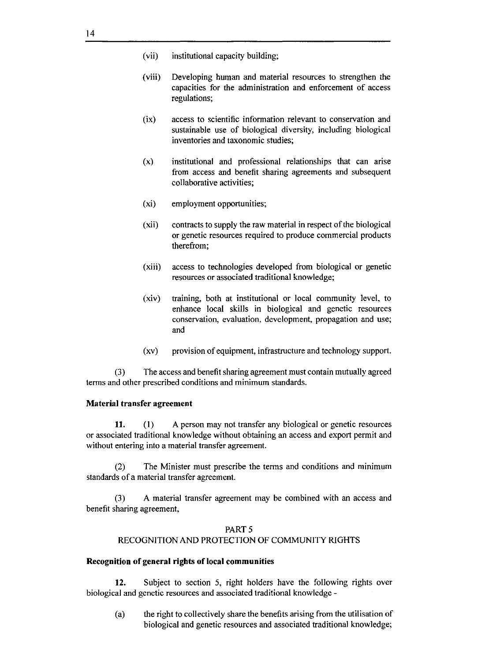- (vii) institutional capacity building;
- (viii) Developing human and material resources to strengthen the capacities for the administration and enforcement of access regulations;
- (ix) access to scientific information relevant to conservation and sustainable use of biological diversity, including biological inventories and taxonomic studies;
- (x) institutional and professional relationships that can arise from access and benefit sharing agreements and subsequent collaborative activities;
- (xi) employment opportunities;
- (xii) contracts to supply the raw material in respect of the biological or genetic resources required to produce commercial products therefrom;
- (xiii) access to technologies developed from biological or genetic resources or associated traditional knowledge;
- (xiv) training, both at institutional or local community level, to enhance local skills in biological and genetic resources conservation, evaluation, development, propagation and use; and
- (xv) provision of equipment, infrastructure and technology support.

(3) The access and benefit sharing agreement must contain mutually agreed terms and other prescribed conditions and minimum standards.

# **Material transfer agreement**

**11.** (l) A person may not transfer any biological or genetic resources or associated traditional knowledge without obtaining an access and export permit and without entering into a material transfer agreement.

(2) The Minister must prescribe the terms and conditions and minimum standards of a material transfer agreement.

(3) A material transfer agreement may be combined with an access and benefit sharing agreement,

# PART 5 RECOGNITION AND PROTECTION OF COMMUNITY RIGHTS

#### **Recognition of general rights of local communities**

**12.** Subject to section 5, right holders have the following rights over biological and genetic resources and associated traditional knowledge -

(a) the right to collectively share the benefits arising from the utilisation of biological and genetic resources and associated traditional knowledge;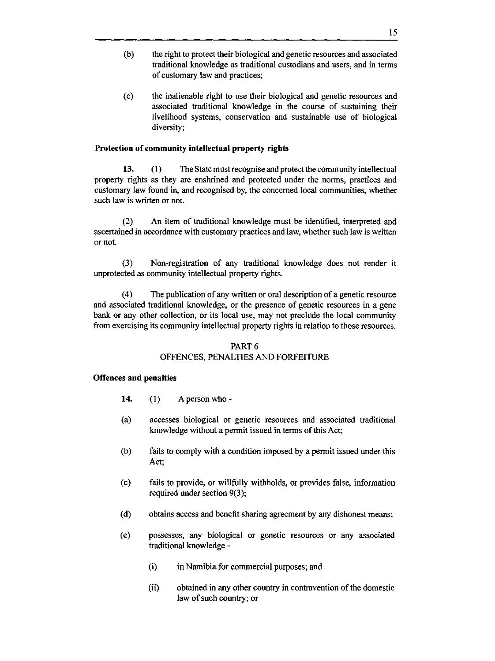- (b) the right to protect their biological and genetic resources and associated traditional knowledge as traditional custodians and users, and in terms of customary law and practices;
- (c) the inalienable right to use their biological and genetic resources and associated traditional knowledge in the course of sustaining their livelihood systems, conservation and sustainable use of biological diversity;

# **Protection of community intellectual property rights**

**13.** (1) The State must recognise and protect the community intellectual property rights as they are enshrined and protected under the norms, practices and customary law found in, and recognised by, the concerned local communities, whether such law is written or not.

(2) An item of traditional knowledge must be identified, interpreted and ascertained in accordance with customary practices and law, whether such law is written or not.

(3) Non-registration of any traditional knowledge does not render it unprotected as community intellectual property rights.

(4) The publication of any written or oral description of a genetic resource and associated traditional knowledge, or the presence of genetic resources in a gene bank or any other collection, or its local use, may not preclude the local community from exercising its community intellectual property rights in relation to those resources.

# PART 6

# OFFENCES, PENALTIES AND FORFEITURE

#### **Offences and penalties**

- **14.** (1) A person who -
- (a) accesses biological or genetic resources and associated traditional knowledge without a permit issued in terms of this Act;
- (b) fails to comply with a condition imposed by a permit issued under this Act;
- (c) fails to provide, or willfully withholds, or provides false, information required under section 9(3);
- (d) obtains access and benefit sharing agreement by any dishonest means;
- (e) possesses, any biological or genetic resources or any associated traditional knowledge -
	- (i) in Namibia for commercial purposes; and
	- (ii) obtained in any other country in contravention of the domestic law of such country; or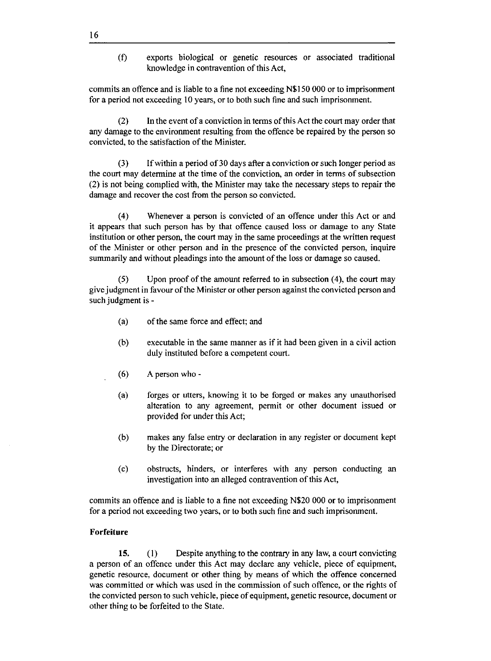(f) exports biological or genetic resources or associated traditional knowledge in contravention of this Act,

commits an offence and is liable to a fine not exceeding N\$150 000 or to imprisonment for a period not exceeding 10 years, or to both such fine and such imprisonment.

(2) **In** the event of a conviction in terms of this Act the court may order that any damage to the environment resulting from the offence be repaired by the person so convicted, to the satisfaction of the Minister.

 $(3)$  If within a period of 30 days after a conviction or such longer period as the court may determine at the time of the conviction, an order in terms of subsection (2) is not being complied with, the Minister may take the necessary steps to repair the damage and recover the cost from the person so convicted.

(4) Whenever a person is convicted of an offence under this Act or and it appears that such person has by that offence caused loss or damage to any State institution or other person, the court may in the same proceedings at the written request of the Minister or other person and in the presence of the convicted person, inquire summarily and without pleadings into the amount of the loss or damage so caused.

(5) Upon proof of the amount referred to in subsection (4), the court may give judgment in favour of the Minister or other person against the convicted person and such judgment is -

- (a) of the same force and effect; and
- (b) executable in the same manner as if it had been given in a civil action duly instituted before a competent court.
- (6) A person who -
- (a) forges or utters, knowing it to be forged or makes any unauthorised alteration to any agreement, permit or other document issued or provided for under this Act;
- (b) makes any false entry or declaration in any register or document kept by the Directorate; or
- (c) obstructs, hinders, or interferes with any person conducting an investigation into an alleged contravention of this Act,

commits an offence and is liable to a fine not exceeding N\$20 000 or to imprisonment for a period not exceeding two years, or to both such fine and such imprisonment.

# **Forfeiture**

**15.** (1) Despite anything to the contrary in any law, a court convicting a person of an offence under this Act may declare any vehicle, piece of equipment, genetic resource, document or other thing by means of which the offence concerned was committed or which was used in the commission of such offence, or the rights of the convicted person to such vehicle, piece of equipment, genetic resource, document or other thing to be forfeited to the State.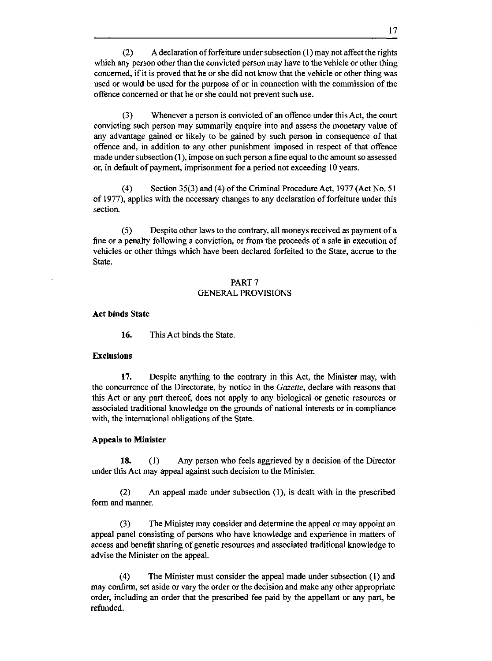$(2)$  A declaration of forfeiture under subsection  $(1)$  may not affect the rights which any person other than the convicted person may have to the vehicle or other thing concerned, if it is proved that he or she did not know that the vehicle or other thing was used or would be used for the purpose of or in connection with the commission of the offence concerned or that he or she could not prevent such use.

(3) Whenever a person is convicted of an offence under this Act, the court convicting such person may summarily enquire into and assess the monetary value of any advantage gained or likely to be gained by such person in consequence of that offence and, in addition to any other punishment imposed in respect of that offence made under subsection (1), impose on such person a fine equal to the amount so assessed or, in default of payment, imprisonment for a period not exceeding 10 years.

(4) Section 35(3) and (4) of the Criminal Procedure Act, 1977 (Act No. 51 of 1977), applies with the necessary changes to any declaration of forfeiture under this section.

(5) Despite other laws to the contrary, all moneys received as payment of a fine or a penalty following a conviction, or from the proceeds of a sale in execution of vehicles or other things which have been declared forfeited to the State, accrue to the State.

# PART 7 GENERAL PROVISIONS

#### **Act binds State**

**16.** This Act binds the State.

# **Exclusions**

**17.** Despite anything to the contrary in this Act, the Minister may, with the concurrence of the Directorate, by notice in the *Gazette,* declare with reasons that this Act or any part thereof, does not apply to any biological or genetic resources or associated traditional knowledge on the grounds of national interests or in compliance with, the international obligations of the State.

# **Appeals to Minister**

**18.** (1) Any person who feels aggrieved by a decision of the Director under this Act may appeal against such decision to the Minister.

(2) An appeal made under subsection (1), is dealt with in the prescribed form and manner.

(3) The Minister may consider and determine the appeal or may appoint an appeal panel consisting of persons who have knowledge and experience in matters of access and benefit sharing of genetic resources and associated traditional knowledge to advise the Minister on the appeal.

(4) The Minister must consider the appeal made under subsection (1) and may confirm, set aside or vary the order or the decision and make any other appropriate order, including an order that the prescribed fee paid by the appellant or any part, be refunded.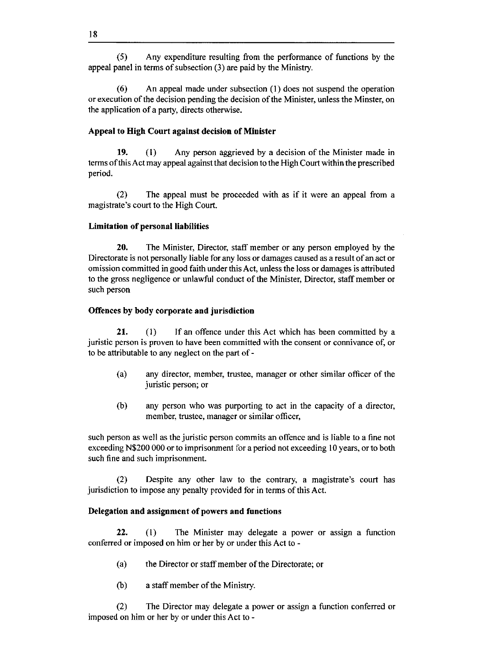(5) Any expenditure resulting from the performance of functions by the appeal panel in terms of subsection (3) are paid by the Ministry.

(6) An appeal made under subsection (1) does not suspend the operation or execution of the decision pending the decision of the Minister, unless the Minster, on the application of a party, directs otherwise.

# **Appeal to High Court against decision of Minister**

**19.** (l) Any person aggrieved by a decision of the Minister made in terms of this Act may appeal against that decision to the High Court within the prescribed period.

(2) The appeal must be proceeded with as if it were an appeal from a magistrate's court to the High Court.

#### **Limitation of** personal liabilities

**20.** The Minister, Director, staff member or any person employed by the Directorate is not personally liable for any loss or damages caused as a result of an act or omission committed in good faith under this Act, unless the loss or damages is attributed to the gross negligence or unlawful conduct of the Minister, Director, staff member or such person

#### **Offences by body corporate and jurisdiction**

**21.** (1) If an offence under this Act which has been committed by a juristic person is proven to have been committed with the consent or connivance of, or to be attributable to any neglect on the part of -

- (a) any director, member, trustee, manager or other similar officer of the juristic person; or
- (b) any person who was purporting to act in the capacity of a director, member, trustee, manager or similar officer,

such person as well as the juristic person commits an offence and is liable to a fine not exceeding N\$200 000 or to imprisonment for a period not exceeding 10 years, or to both such fine and such imprisonment.

(2) Despite any other law to the contrary, a magistrate's court has jurisdiction to impose any penalty provided for in terms of this Act.

#### **Delegation and assignment of powers and functions**

**22.** (1) The Minister may delegate a power or assign a function conferred or imposed on him or her by or under this Act to -

- (a) the Director or staff member of the Directorate; or
- (b) a staff member of the Ministry.

(2) The Director may delegate a power or assign a function conferred or imposed on him or her by or under this Act to -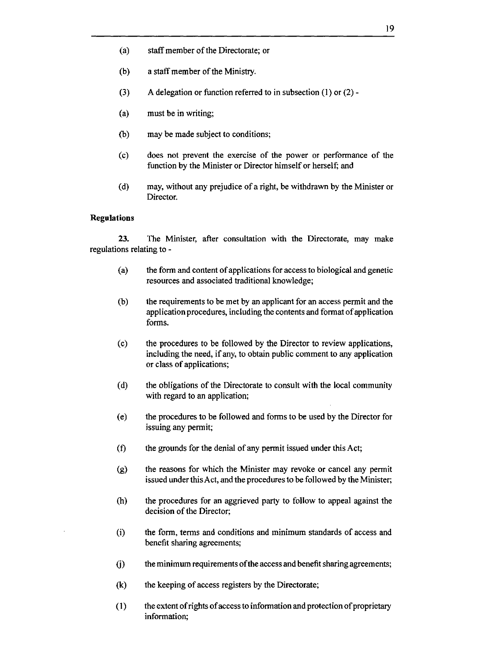- (a) staff member of the Directorate; or
- (b) a staff member of the Ministry.
- (3) A delegation or function referred to in subsection (1) or (2) -
- (a) must be in writing;
- (b) may be made subject to conditions;
- (c) does not prevent the exercise of the power or performance of the function by the Minister or Director himself or herself; and
- (d) may, without any prejudice of a right, be withdrawn by the Minister or Director.

# **Regulations**

**23.** The Minister, after consultation with the Directorate, may make regulations relating to -

- (a) the form and content of applications for access to biological and genetic resources and associated traditional knowledge;
- (b) the requirements to be met by an applicant for an access permit and the application procedures, including the contents and format of application forms.
- (c) the procedures to be followed by the Director to review applications, including the need, if any, to obtain public comment to any application or class of applications;
- (d) the obligations of the Directorate to consult with the local community with regard to an application;
- (e) the procedures to be followed and forms to be used by the Director for issuing any permit;
- (f) the grounds for the denial of any permit issued under this Act;
- (g) the reasons for which the Minister may revoke or cancel any permit issued under this Act, and the procedures to be followed by the Minister;
- (h) the procedures for an aggrieved party to follow to appeal against the decision of the Director;
- (i) the form, terms and conditions and minimum standards of access and benefit sharing agreements;
- G) the minimum requirements of the access and benefit sharing agreements;
- (k) the keeping of access registers by the Directorate;
- (1) the extent of rights of access to information and protection of proprietary information;